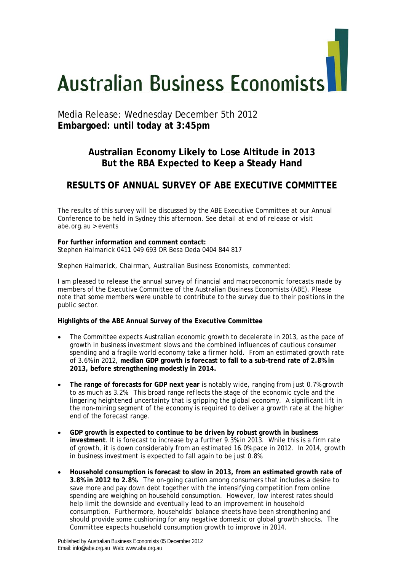# **Australian Business Economists**

# Media Release: Wednesday December 5th 2012 **Embargoed: until today at 3:45pm**

## **Australian Economy Likely to Lose Altitude in 2013 But the RBA Expected to Keep a Steady Hand**

# **RESULTS OF ANNUAL SURVEY OF ABE EXECUTIVE COMMITTEE**

The results of this survey will be discussed by the ABE Executive Committee at our Annual Conference to be held in Sydney this afternoon. See detail at end of release or visit abe.org.au > events

**For further information and comment contact:**  Stephen Halmarick 0411 049 693 OR Besa Deda 0404 844 817

## *Stephen Halmarick, Chairman, Australian Business Economists, commented:*

I am pleased to release the annual survey of financial and macroeconomic forecasts made by members of the Executive Committee of the Australian Business Economists (ABE). Please note that some members were unable to contribute to the survey due to their positions in the public sector.

## **Highlights of the ABE Annual Survey of the Executive Committee**

- The Committee expects Australian economic growth to decelerate in 2013, as the pace of growth in business investment slows and the combined influences of cautious consumer spending and a fragile world economy take a firmer hold. From an estimated growth rate of 3.6% in 2012, **median GDP growth is forecast to fall to a sub-trend rate of 2.8% in 2013, before strengthening modestly in 2014.**
- **The range of forecasts for GDP next year** is notably wide, ranging from just 0.7% growth to as much as 3.2%. This broad range reflects the stage of the economic cycle and the lingering heightened uncertainty that is gripping the global economy. A significant lift in the non-mining segment of the economy is required to deliver a growth rate at the higher end of the forecast range.
- **GDP growth is expected to continue to be driven by robust growth in business investment**. It is forecast to increase by a further 9.3% in 2013. While this is a firm rate of growth, it is down considerably from an estimated 16.0% pace in 2012. In 2014, growth in business investment is expected to fall again to be just 0.8%.
- **Household consumption is forecast to slow in 2013, from an estimated growth rate of 3.8% in 2012 to 2.8%.** The on-going caution among consumers that includes a desire to save more and pay down debt together with the intensifying competition from online spending are weighing on household consumption. However, low interest rates should help limit the downside and eventually lead to an improvement in household consumption. Furthermore, households' balance sheets have been strengthening and should provide some cushioning for any negative domestic or global growth shocks. The Committee expects household consumption growth to improve in 2014.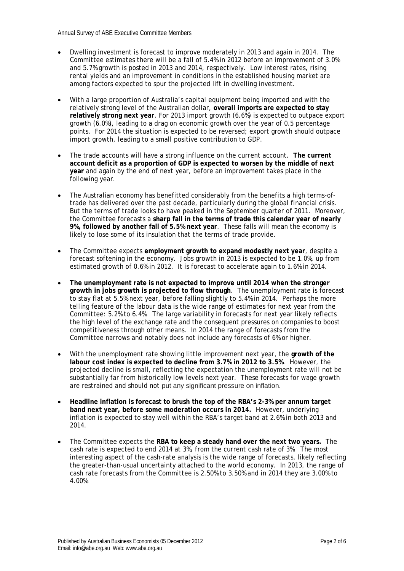- Dwelling investment is forecast to improve moderately in 2013 and again in 2014. The Committee estimates there will be a fall of 5.4% in 2012 before an improvement of 3.0% and 5.7% growth is posted in 2013 and 2014, respectively. Low interest rates, rising rental yields and an improvement in conditions in the established housing market are among factors expected to spur the projected lift in dwelling investment.
- With a large proportion of Australia's capital equipment being imported and with the relatively strong level of the Australian dollar, **overall imports are expected to stay relatively strong next year**. For 2013 import growth (6.6%) is expected to outpace export growth (6.0%), leading to a drag on economic growth over the year of 0.5 percentage points. For 2014 the situation is expected to be reversed; export growth should outpace import growth, leading to a small positive contribution to GDP.
- The trade accounts will have a strong influence on the current account. **The current account deficit as a proportion of GDP is expected to worsen by the middle of next year** and again by the end of next year, before an improvement takes place in the following year.
- The Australian economy has benefitted considerably from the benefits a high terms-oftrade has delivered over the past decade, particularly during the global financial crisis. But the terms of trade looks to have peaked in the September quarter of 2011. Moreover, the Committee forecasts a **sharp fall in the terms of trade this calendar year of nearly 9%, followed by another fall of 5.5% next year**. These falls will mean the economy is likely to lose some of its insulation that the terms of trade provide.
- The Committee expects **employment growth to expand modestly next year**, despite a forecast softening in the economy. Jobs growth in 2013 is expected to be 1.0%, up from estimated growth of 0.6% in 2012. It is forecast to accelerate again to 1.6% in 2014.
- **The unemployment rate is not expected to improve until 2014 when the stronger growth in jobs growth is projected to flow through**. The unemployment rate is forecast to stay flat at 5.5% next year, before falling slightly to 5.4% in 2014. Perhaps the more telling feature of the labour data is the wide range of estimates for next year from the Committee: 5.2% to 6.4%. The large variability in forecasts for next year likely reflects the high level of the exchange rate and the consequent pressures on companies to boost competitiveness through other means. In 2014 the range of forecasts from the Committee narrows and notably does not include any forecasts of 6% or higher.
- With the unemployment rate showing little improvement next year, the **growth of the labour cost index is expected to decline from 3.7% in 2012 to 3.5%**. However, the projected decline is small, reflecting the expectation the unemployment rate will not be substantially far from historically low levels next year. These forecasts for wage growth are restrained and should not put any significant pressure on inflation.
- **Headline inflation is forecast to brush the top of the RBA's 2-3% per annum target band next year, before some moderation occurs in 2014.** However, underlying inflation is expected to stay well within the RBA's target band at 2.6% in both 2013 and 2014.
- The Committee expects the **RBA to keep a steady hand over the next two years.** The cash rate is expected to end 2014 at 3%, from the current cash rate of 3%. The most interesting aspect of the cash-rate analysis is the wide range of forecasts, likely reflecting the greater-than-usual uncertainty attached to the world economy. In 2013, the range of cash rate forecasts from the Committee is 2.50% to 3.50% and in 2014 they are 3.00% to 4.00%.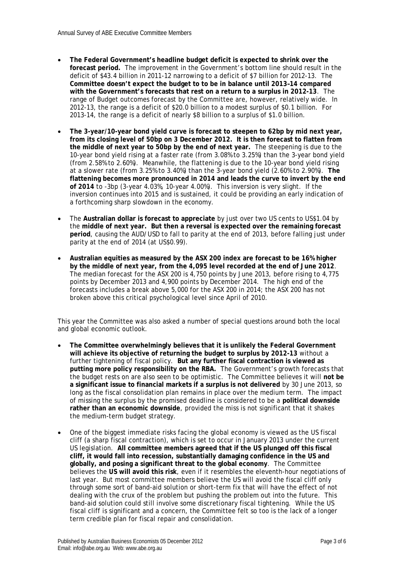- **The Federal Government's headline budget deficit is expected to shrink over the forecast period.** The improvement in the Government's bottom line should result in the deficit of \$43.4 billion in 2011-12 narrowing to a deficit of \$7 billion for 2012-13. The **Committee doesn't expect the budget to to be in balance until 2013–14 compared with the Government's forecasts that rest on a return to a surplus in 2012-13**. The range of Budget outcomes forecast by the Committee are, however, relatively wide. In 2012-13, the range is a deficit of \$20.0 billion to a modest surplus of \$0.1 billion. For 2013-14, the range is a deficit of nearly \$8 billion to a surplus of \$1.0 billion.
- **The 3-year/10-year bond yield curve is forecast to steepen to 62bp by mid next year, from its closing level of 50bp on 3 December 2012. It is then forecast to flatten from the middle of next year to 50bp by the end of next year.** The steepening is due to the 10-year bond yield rising at a faster rate (from 3.08% to 3.25%) than the 3-year bond yield (from 2.58% to 2.60%). Meanwhile, the flattening is due to the 10-year bond yield rising at a slower rate (from 3.25% to 3.40%) than the 3-year bond yield (2.60% to 2.90%). **The flattening becomes more pronounced in 2014 and leads the curve to invert by the end of 2014** to -3bp (3-year 4.03%, 10-year 4.00%). This inversion is very slight. If the inversion continues into 2015 and is sustained, it could be providing an early indication of a forthcoming sharp slowdown in the economy.
- The **Australian dollar is forecast to appreciate** by just over two US cents to US\$1.04 by the **middle of next year. But then a reversal is expected over the remaining forecast period**, causing the AUD/USD to fall to parity at the end of 2013, before falling just under parity at the end of 2014 (at US\$0.99).
- **Australian equities as measured by the ASX 200 index are forecast to be 16% higher by the middle of next year, from the 4,095 level recorded at the end of June 2012**. The median forecast for the ASX 200 is 4,750 points by June 2013, before rising to 4,775 points by December 2013 and 4,900 points by December 2014. The high end of the forecasts includes a break above 5,000 for the ASX 200 in 2014; the ASX 200 has not broken above this critical psychological level since April of 2010.

This year the Committee was also asked a number of special questions around both the local and global economic outlook.

- **The Committee overwhelmingly believes that it is unlikely the Federal Government will achieve its objective of returning the budget to surplus by 2012-13** without a further tightening of fiscal policy. **But any further fiscal contraction is viewed as putting more policy responsibility on the RBA.** The Government's growth forecasts that the budget rests on are also seen to be optimistic. The Committee believes it will **not be a significant issue to financial markets if a surplus is not delivered** by 30 June 2013, so long as the fiscal consolidation plan remains in place over the medium term. The impact of missing the surplus by the promised deadline is considered to be a **political downside rather than an economic downside**, provided the miss is not significant that it shakes the medium-term budget strategy.
- One of the biggest immediate risks facing the global economy is viewed as the US fiscal cliff (a sharp fiscal contraction), which is set to occur in January 2013 under the current US legislation. **All committee members agreed that if the US plunged off this fiscal cliff, it would fall into recession, substantially damaging confidence in the US and globally, and posing a significant threat to the global economy**. The Committee believes the **US will avoid this risk**, even if it resembles the eleventh-hour negotiations of last year. But most committee members believe the US will avoid the fiscal cliff only through some sort of band-aid solution or short-term fix that will have the effect of not dealing with the crux of the problem but pushing the problem out into the future. This band-aid solution could still involve some discretionary fiscal tightening. While the US fiscal cliff is significant and a concern, the Committee felt so too is the lack of a longer term credible plan for fiscal repair and consolidation.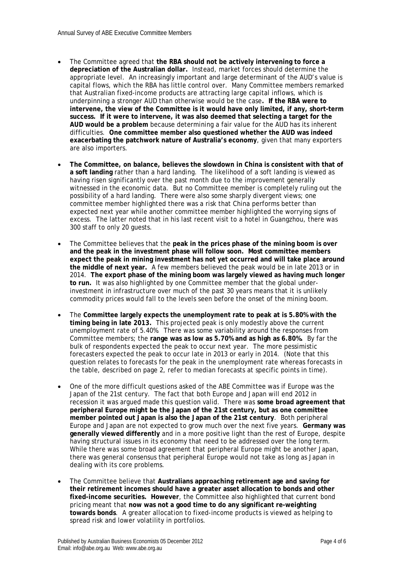- The Committee agreed that **the RBA should not be actively intervening to force a depreciation of the Australian dollar.** Instead, market forces should determine the appropriate level. An increasingly important and large determinant of the AUD's value is capital flows, which the RBA has little control over. Many Committee members remarked that Australian fixed-income products are attracting large capital inflows, which is underpinning a stronger AUD than otherwise would be the case**. If the RBA were to intervene, the view of the Committee is it would have only limited, if any, short-term success. If it were to intervene, it was also deemed that selecting a target for the AUD would be a problem** because determining a fair value for the AUD has its inherent difficulties. **One committee member also questioned whether the AUD was indeed exacerbating the patchwork nature of Australia's economy**, given that many exporters are also importers.
- **The Committee, on balance, believes the slowdown in China is consistent with that of a soft landing** rather than a hard landing. The likelihood of a soft landing is viewed as having risen significantly over the past month due to the improvement generally witnessed in the economic data. But no Committee member is completely ruling out the possibility of a hard landing. There were also some sharply divergent views; one committee member highlighted there was a risk that China performs better than expected next year while another committee member highlighted the worrying signs of excess. The latter noted that in his last recent visit to a hotel in Guangzhou, there was 300 staff to only 20 guests.
- The Committee believes that the **peak in the prices phase of the mining boom is over and the peak in the investment phase will follow soon. Most committee members expect the peak in mining investment has not yet occurred and will take place around the middle of next year.** A few members believed the peak would be in late 2013 or in 2014. **The export phase of the mining boom was largely viewed as having much longer to run.** It was also highlighted by one Committee member that the global underinvestment in infrastructure over much of the past 30 years means that it is unlikely commodity prices would fall to the levels seen before the onset of the mining boom.
- The **Committee largely expects the unemployment rate to peak at is 5.80% with the timing being in late 2013.** This projected peak is only modestly above the current unemployment rate of 5.40%. There was some variability around the responses from Committee members; the **range was as low as 5.70% and as high as 6.80%.** By far the bulk of respondents expected the peak to occur next year. The more pessimistic forecasters expected the peak to occur late in 2013 or early in 2014.(Note that this question relates to forecasts for the peak in the unemployment rate whereas forecasts in the table, described on page 2, refer to median forecasts at specific points in time).
- One of the more difficult questions asked of the ABE Committee was if Europe was the Japan of the 21st century. The fact that both Europe and Japan will end 2012 in recession it was argued made this question valid. There was **some broad agreement that peripheral Europe might be the Japan of the 21st century, but as one committee member pointed out Japan is also the Japan of the 21st century**. Both peripheral Europe and Japan are not expected to grow much over the next five years. **Germany was generally viewed differently** and in a more positive light than the rest of Europe, despite having structural issues in its economy that need to be addressed over the long term. While there was some broad agreement that peripheral Europe might be another Japan, there was general consensus that peripheral Europe would not take as long as Japan in dealing with its core problems.
- The Committee believe that **Australians approaching retirement age and saving for their retirement incomes should have a greater asset allocation to bonds and other fixed-income securities. However**, the Committee also highlighted that current bond pricing meant that **now was not a good time to do any significant re-weighting towards bonds**. A greater allocation to fixed-income products is viewed as helping to spread risk and lower volatility in portfolios.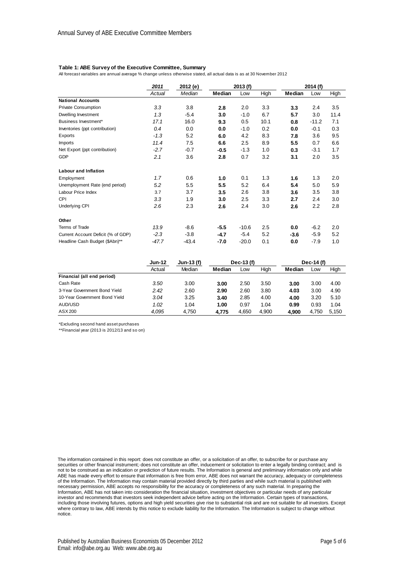### **Table 1: ABE Survey of the Executive Committee, Summary**

All forecast variables are annual average % change unless otherwise stated, all actual data is as at 30 November 2012

|                                    | 2011   | 2012 (e)<br>2013 (f) |        | 2014 (f) |      |        |         |      |
|------------------------------------|--------|----------------------|--------|----------|------|--------|---------|------|
|                                    | Actual | Median               | Median | Low      | High | Median | Low     | High |
| <b>National Accounts</b>           |        |                      |        |          |      |        |         |      |
| <b>Private Consumption</b>         | 3.3    | 3.8                  | 2.8    | 2.0      | 3.3  | 3.3    | 2.4     | 3.5  |
| <b>Dwelling Investment</b>         | 1.3    | $-5.4$               | 3.0    | $-1.0$   | 6.7  | 5.7    | 3.0     | 11.4 |
| Business Investment*               | 17.1   | 16.0                 | 9.3    | 0.5      | 10.1 | 0.8    | $-11.2$ | 7.1  |
| Inventories (ppt contribution)     | 0.4    | 0.0                  | 0.0    | $-1.0$   | 0.2  | 0.0    | $-0.1$  | 0.3  |
| Exports                            | $-1.3$ | 5.2                  | 6.0    | 4.2      | 8.3  | 7.8    | 3.6     | 9.5  |
| Imports                            | 11.4   | 7.5                  | 6.6    | 2.5      | 8.9  | 5.5    | 0.7     | 6.6  |
| Net Export (ppt contribution)      | $-2.7$ | $-0.7$               | -0.5   | $-1.3$   | 1.0  | 0.3    | $-3.1$  | 1.7  |
| GDP                                | 2.1    | 3.6                  | 2.8    | 0.7      | 3.2  | 3.1    | 2.0     | 3.5  |
| <b>Labour and Inflation</b>        |        |                      |        |          |      |        |         |      |
| Employment                         | 1.7    | 0.6                  | 1.0    | 0.1      | 1.3  | 1.6    | 1.3     | 2.0  |
| Unemployment Rate (end period)     | 5.2    | 5.5                  | 5.5    | 5.2      | 6.4  | 5.4    | 5.0     | 5.9  |
| Labour Price Index                 | 3.7    | 3.7                  | 3.5    | 2.6      | 3.8  | 3.6    | 3.5     | 3.8  |
| <b>CPI</b>                         | 3.3    | 1.9                  | 3.0    | 2.5      | 3.3  | 2.7    | 2.4     | 3.0  |
| Underlying CPI                     | 2.6    | 2.3                  | 2.6    | 2.4      | 3.0  | 2.6    | 2.2     | 2.8  |
| Other                              |        |                      |        |          |      |        |         |      |
| Terms of Trade                     | 13.9   | $-8.6$               | $-5.5$ | $-10.6$  | 2.5  | 0.0    | $-6.2$  | 2.0  |
| Current Account Deficit (% of GDP) | $-2.3$ | $-3.8$               | $-4.7$ | $-5.4$   | 5.2  | $-3.6$ | $-5.9$  | 5.2  |
| Headline Cash Budget (\$Abn)**     | -47.7  | $-43.4$              | -7.0   | $-20.0$  | 0.1  | 0.0    | $-7.9$  | 1.0  |

|                               | <b>Jun-12</b> | Jun-13 (f) | Dec-13 (f) |       |       | Dec-14 (f) |       |       |
|-------------------------------|---------------|------------|------------|-------|-------|------------|-------|-------|
|                               | Actual        | Median     | Median     | LOW   | High  | Median     | Low   | High  |
| Financial (all end period)    |               |            |            |       |       |            |       |       |
| Cash Rate                     | 3.50          | 3.00       | 3.00       | 2.50  | 3.50  | 3.00       | 3.00  | 4.00  |
| 3-Year Government Bond Yield  | 2.42          | 2.60       | 2.90       | 2.60  | 3.80  | 4.03       | 3.00  | 4.90  |
| 10-Year Government Bond Yield | 3.04          | 3.25       | 3.40       | 2.85  | 4.00  | 4.00       | 3.20  | 5.10  |
| AUD/USD                       | 1.02          | 1.04       | 1.00       | 0.97  | 1.04  | 0.99       | 0.93  | 1.04  |
| ASX 200                       | 4.095         | 4.750      | 4.775      | 4.650 | 4.900 | 4.900      | 4.750 | 5.150 |

\*Excluding second hand asset purchases

\*\*Financial year (2013 is 2012/13 and so on)

The information contained in this report: does not constitute an offer, or a solicitation of an offer, to subscribe for or purchase any securities or other financial instrument;·does not constitute an offer, inducement or solicitation to enter a legally binding contract; and is not to be construed as an indication or prediction of future results. The Information is general and preliminary information only and while ABE has made every effort to ensure that information is free from error, ABE does not warrant the accuracy, adequacy or completeness of the Information. The Information may contain material provided directly by third parties and while such material is published with necessary permission, ABE accepts no responsibility for the accuracy or completeness of any such material. In preparing the Information, ABE has not taken into consideration the financial situation, investment objectives or particular needs of any particular investor and recommends that investors seek independent advice before acting on the Information. Certain types of transactions, including those involving futures, options and high yield securities give rise to substantial risk and are not suitable for all investors. Except where contrary to law, ABE intends by this notice to exclude liability for the Information. The Information is subject to change without notice.